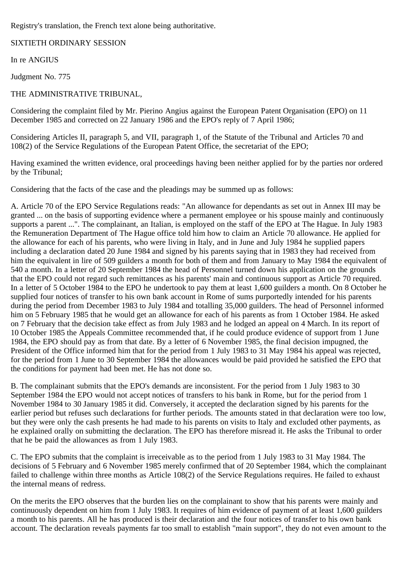Registry's translation, the French text alone being authoritative.

SIXTIETH ORDINARY SESSION

In re ANGIUS

Judgment No. 775

## THE ADMINISTRATIVE TRIBUNAL,

Considering the complaint filed by Mr. Pierino Angius against the European Patent Organisation (EPO) on 11 December 1985 and corrected on 22 January 1986 and the EPO's reply of 7 April 1986;

Considering Articles II, paragraph 5, and VII, paragraph 1, of the Statute of the Tribunal and Articles 70 and 108(2) of the Service Regulations of the European Patent Office, the secretariat of the EPO;

Having examined the written evidence, oral proceedings having been neither applied for by the parties nor ordered by the Tribunal;

Considering that the facts of the case and the pleadings may be summed up as follows:

A. Article 70 of the EPO Service Regulations reads: "An allowance for dependants as set out in Annex III may be granted ... on the basis of supporting evidence where a permanent employee or his spouse mainly and continuously supports a parent ...". The complainant, an Italian, is employed on the staff of the EPO at The Hague. In July 1983 the Remuneration Department of The Hague office told him how to claim an Article 70 allowance. He applied for the allowance for each of his parents, who were living in Italy, and in June and July 1984 he supplied papers including a declaration dated 20 June 1984 and signed by his parents saying that in 1983 they had received from him the equivalent in lire of 509 guilders a month for both of them and from January to May 1984 the equivalent of 540 a month. In a letter of 20 September 1984 the head of Personnel turned down his application on the grounds that the EPO could not regard such remittances as his parents' main and continuous support as Article 70 required. In a letter of 5 October 1984 to the EPO he undertook to pay them at least 1,600 guilders a month. On 8 October he supplied four notices of transfer to his own bank account in Rome of sums purportedly intended for his parents during the period from December 1983 to July 1984 and totalling 35,000 guilders. The head of Personnel informed him on 5 February 1985 that he would get an allowance for each of his parents as from 1 October 1984. He asked on 7 February that the decision take effect as from July 1983 and he lodged an appeal on 4 March. In its report of 10 October 1985 the Appeals Committee recommended that, if he could produce evidence of support from 1 June 1984, the EPO should pay as from that date. By a letter of 6 November 1985, the final decision impugned, the President of the Office informed him that for the period from 1 July 1983 to 31 May 1984 his appeal was rejected, for the period from 1 June to 30 September 1984 the allowances would be paid provided he satisfied the EPO that the conditions for payment had been met. He has not done so.

B. The complainant submits that the EPO's demands are inconsistent. For the period from 1 July 1983 to 30 September 1984 the EPO would not accept notices of transfers to his bank in Rome, but for the period from 1 November 1984 to 30 January 1985 it did. Conversely, it accepted the declaration signed by his parents for the earlier period but refuses such declarations for further periods. The amounts stated in that declaration were too low, but they were only the cash presents he had made to his parents on visits to Italy and excluded other payments, as he explained orally on submitting the declaration. The EPO has therefore misread it. He asks the Tribunal to order that he be paid the allowances as from 1 July 1983.

C. The EPO submits that the complaint is irreceivable as to the period from 1 July 1983 to 31 May 1984. The decisions of 5 February and 6 November 1985 merely confirmed that of 20 September 1984, which the complainant failed to challenge within three months as Article 108(2) of the Service Regulations requires. He failed to exhaust the internal means of redress.

On the merits the EPO observes that the burden lies on the complainant to show that his parents were mainly and continuously dependent on him from 1 July 1983. It requires of him evidence of payment of at least 1,600 guilders a month to his parents. All he has produced is their declaration and the four notices of transfer to his own bank account. The declaration reveals payments far too small to establish "main support", they do not even amount to the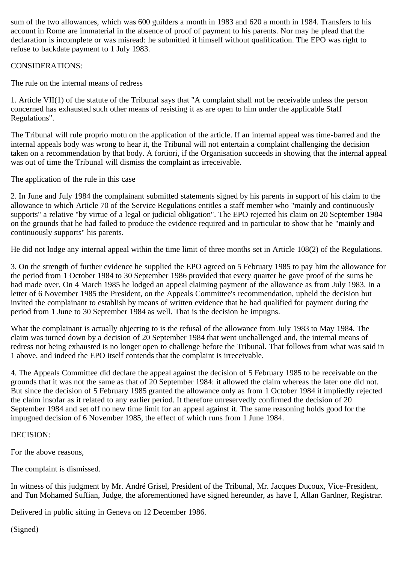sum of the two allowances, which was 600 guilders a month in 1983 and 620 a month in 1984. Transfers to his account in Rome are immaterial in the absence of proof of payment to his parents. Nor may he plead that the declaration is incomplete or was misread: he submitted it himself without qualification. The EPO was right to refuse to backdate payment to 1 July 1983.

## CONSIDERATIONS:

The rule on the internal means of redress

1. Article VII(1) of the statute of the Tribunal says that "A complaint shall not be receivable unless the person concerned has exhausted such other means of resisting it as are open to him under the applicable Staff Regulations".

The Tribunal will rule proprio motu on the application of the article. If an internal appeal was time-barred and the internal appeals body was wrong to hear it, the Tribunal will not entertain a complaint challenging the decision taken on a recommendation by that body. A fortiori, if the Organisation succeeds in showing that the internal appeal was out of time the Tribunal will dismiss the complaint as irreceivable.

The application of the rule in this case

2. In June and July 1984 the complainant submitted statements signed by his parents in support of his claim to the allowance to which Article 70 of the Service Regulations entitles a staff member who "mainly and continuously supports" a relative "by virtue of a legal or judicial obligation". The EPO rejected his claim on 20 September 1984 on the grounds that he had failed to produce the evidence required and in particular to show that he "mainly and continuously supports" his parents.

He did not lodge any internal appeal within the time limit of three months set in Article 108(2) of the Regulations.

3. On the strength of further evidence he supplied the EPO agreed on 5 February 1985 to pay him the allowance for the period from 1 October 1984 to 30 September 1986 provided that every quarter he gave proof of the sums he had made over. On 4 March 1985 he lodged an appeal claiming payment of the allowance as from July 1983. In a letter of 6 November 1985 the President, on the Appeals Committee's recommendation, upheld the decision but invited the complainant to establish by means of written evidence that he had qualified for payment during the period from 1 June to 30 September 1984 as well. That is the decision he impugns.

What the complainant is actually objecting to is the refusal of the allowance from July 1983 to May 1984. The claim was turned down by a decision of 20 September 1984 that went unchallenged and, the internal means of redress not being exhausted is no longer open to challenge before the Tribunal. That follows from what was said in 1 above, and indeed the EPO itself contends that the complaint is irreceivable.

4. The Appeals Committee did declare the appeal against the decision of 5 February 1985 to be receivable on the grounds that it was not the same as that of 20 September 1984: it allowed the claim whereas the later one did not. But since the decision of 5 February 1985 granted the allowance only as from 1 October 1984 it impliedly rejected the claim insofar as it related to any earlier period. It therefore unreservedly confirmed the decision of 20 September 1984 and set off no new time limit for an appeal against it. The same reasoning holds good for the impugned decision of 6 November 1985, the effect of which runs from 1 June 1984.

## DECISION:

For the above reasons,

The complaint is dismissed.

In witness of this judgment by Mr. André Grisel, President of the Tribunal, Mr. Jacques Ducoux, Vice-President, and Tun Mohamed Suffian, Judge, the aforementioned have signed hereunder, as have I, Allan Gardner, Registrar.

Delivered in public sitting in Geneva on 12 December 1986.

(Signed)